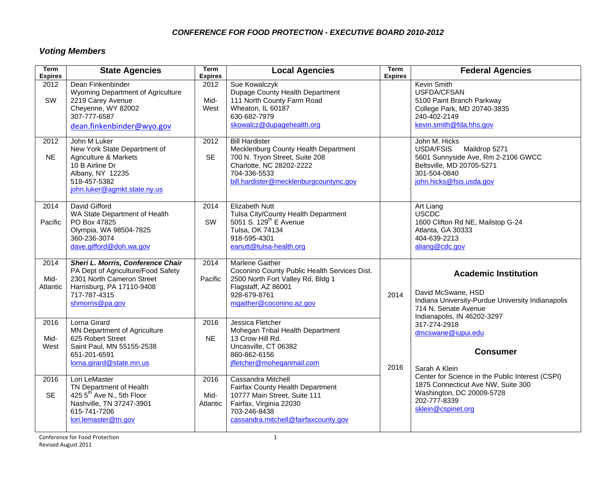#### *CONFERENCE FOR FOOD PROTECTION - EXECUTIVE BOARD 2010-2012*

# *Voting Members*

| <b>Term</b><br><b>Expires</b> | <b>State Agencies</b>                                                                                                                                                | Term<br><b>Expires</b>   | <b>Local Agencies</b>                                                                                                                                                                 | <b>Term</b><br><b>Expires</b> | <b>Federal Agencies</b>                                                                                                                                       |
|-------------------------------|----------------------------------------------------------------------------------------------------------------------------------------------------------------------|--------------------------|---------------------------------------------------------------------------------------------------------------------------------------------------------------------------------------|-------------------------------|---------------------------------------------------------------------------------------------------------------------------------------------------------------|
| 2012<br>SW                    | Dean Finkenbinder<br>Wyoming Department of Agriculture<br>2219 Carey Avenue<br>Cheyenne, WY 82002<br>307-777-6587<br>dean.finkenbinder@wyo.gov                       | 2012<br>Mid-<br>West     | Sue Kowalczyk<br>Dupage County Health Department<br>111 North County Farm Road<br>Wheaton, IL 60187<br>630-682-7979<br>skowalcz@dupagehealth.org                                      |                               | Kevin Smith<br>USFDA/CFSAN<br>5100 Paint Branch Parkway<br>College Park, MD 20740-3835<br>240-402-2149<br>kevin.smith@fda.hhs.gov                             |
| 2012<br><b>NE</b>             | John M Luker<br>New York State Department of<br>Agriculture & Markets<br>10 B Airline Dr<br>Albany, NY 12235<br>518-457-5382<br>john.luker@agmkt.state.ny.us         | 2012<br><b>SE</b>        | <b>Bill Hardister</b><br>Mecklenburg County Health Department<br>700 N. Tryon Street, Suite 208<br>Charlotte, NC 28202-2222<br>704-336-5533<br>bill.hardister@mecklenburgcountync.gov |                               | John M. Hicks<br>USDA/FSIS Maildrop 5271<br>5601 Sunnyside Ave, Rm 2-2106 GWCC<br>Beltsville, MD 20705-5271<br>301-504-0840<br>john.hicks@fsis.usda.gov       |
| 2014<br>Pacific               | David Gifford<br>WA State Department of Health<br>PO Box 47825<br>Olympia, WA 98504-7825<br>360-236-3074<br>dave.gifford@doh.wa.gov                                  | 2014<br>SW               | <b>Elizabeth Nutt</b><br>Tulsa City/County Health Department<br>5051 S. 129 <sup>th</sup> E Avenue<br>Tulsa, OK 74134<br>918-595-4301<br>eanutt@tulsa-health.org                      |                               | Art Liang<br>USCDC<br>1600 Clifton Rd NE, Mailstop G-24<br>Atlanta, GA 30333<br>404-639-2213<br>aliang@cdc.gov                                                |
| 2014<br>Mid-<br>Atlantic      | Sheri L. Morris, Conference Chair<br>PA Dept of Agriculture/Food Safety<br>2301 North Cameron Street<br>Harrisburg, PA 17110-9408<br>717-787-4315<br>shmorris@pa.gov | 2014<br>Pacific          | <b>Marlene Gaither</b><br>Coconino County Public Health Services Dist.<br>2500 North Fort Valley Rd, Bldg 1<br>Flagstaff, AZ 86001<br>928-679-8761<br>mgaither@coconino.az.gov        | 2014                          | <b>Academic Institution</b><br>David McSwane, HSD<br>Indiana University-Purdue University Indianapolis<br>714 N. Senate Avenue<br>Indianapolis, IN 46202-3297 |
| 2016<br>Mid-<br>West          | Lorna Girard<br><b>MN Department of Agriculture</b><br>625 Robert Street<br>Saint Paul, MN 55155-2538<br>651-201-6591<br>lorna.girard@state.mn.us                    | 2016<br><b>NE</b>        | Jessica Fletcher<br>Mohegan Tribal Health Department<br>13 Crow Hill Rd.<br>Uncasville, CT 06382<br>860-862-6156<br>jfletcher@moheganmail.com                                         | 2016                          | 317-274-2918<br>dmcswane@iupui.edu<br><b>Consumer</b><br>Sarah A Klein                                                                                        |
| 2016<br><b>SE</b>             | Lori LeMaster<br>TN Department of Health<br>425 5 <sup>th</sup> Ave N., 5th Floor<br>Nashville, TN 37247-3901<br>615-741-7206<br>lori.lemaster@tn.gov                | 2016<br>Mid-<br>Atlantic | Cassandra Mitchell<br>Fairfax County Health Department<br>10777 Main Street, Suite 111<br>Fairfax, Virginia 22030<br>703-246-8438<br>cassandra.mitchell@fairfaxcounty.gov             |                               | Center for Science in the Public Interest (CSPI)<br>1875 Connecticut Ave NW, Suite 300<br>Washington, DC 20009-5728<br>202-777-8339<br>sklein@cspinet.org     |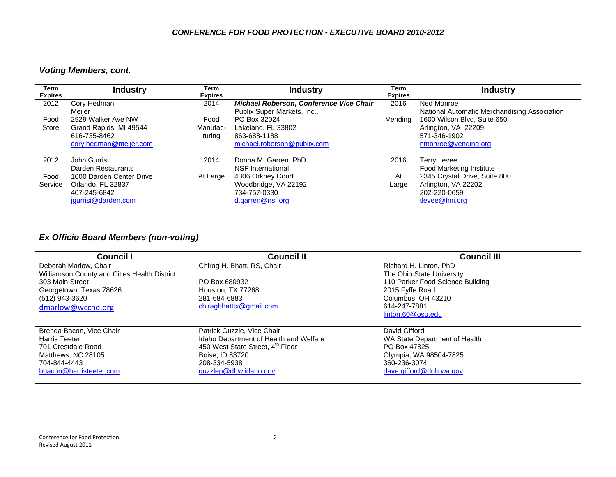### *Voting Members, cont.*

| Term<br><b>Expires</b>  | <b>Industry</b>                                                                                                                                      | Term<br><b>Expires</b>             | <b>Industry</b>                                                                                                                                           | Term<br><b>Expires</b> | <b>Industry</b>                                                                                                                                                        |
|-------------------------|------------------------------------------------------------------------------------------------------------------------------------------------------|------------------------------------|-----------------------------------------------------------------------------------------------------------------------------------------------------------|------------------------|------------------------------------------------------------------------------------------------------------------------------------------------------------------------|
| 2012<br>Food<br>Store   | Cory Hedman<br>Meijer<br>2929 Walker Ave NW<br>Grand Rapids, MI 49544<br>616-735-8462                                                                | 2014<br>Food<br>Manufac-<br>turing | Michael Roberson, Conference Vice Chair<br>Publix Super Markets, Inc.,<br>PO Box 32024<br>Lakeland, FL 33802<br>863-688-1188                              | 2016<br>Vendina        | Ned Monroe<br>National Automatic Merchandising Association<br>1600 Wilson Blvd, Suite 650<br>Arlington, VA 22209<br>571-346-1902                                       |
| 2012<br>Food<br>Service | cory.hedman@meijer.com<br>John Gurrisi<br>Darden Restaurants<br>1000 Darden Center Drive<br>Orlando, FL 32837<br>407-245-6842<br>jgurrisi@darden.com | 2014<br>At Large                   | michael.roberson@publix.com<br>Donna M. Garren, PhD<br>NSF International<br>4306 Orkney Court<br>Woodbridge, VA 22192<br>734-757-0330<br>d.garren@nsf.org | 2016<br>At<br>Large    | nmonroe@vending.org<br><b>Terry Levee</b><br><b>Food Marketing Institute</b><br>2345 Crystal Drive, Suite 800<br>Arlington, VA 22202<br>202-220-0659<br>tlevee@fmi.org |

## *Ex Officio Board Members (non-voting)*

| <b>Council I</b>                             | <b>Council II</b>                      | <b>Council III</b>               |
|----------------------------------------------|----------------------------------------|----------------------------------|
| Deborah Marlow, Chair                        | Chirag H. Bhatt, RS, Chair             | Richard H. Linton, PhD           |
| Williamson County and Cities Health District |                                        | The Ohio State University        |
| 303 Main Street                              | PO Box 680932                          | 110 Parker Food Science Building |
| Georgetown, Texas 78626                      | Houston, TX 77268                      | 2015 Fyffe Road                  |
| (512) 943-3620                               | 281-684-6883                           | Columbus, OH 43210               |
| dmarlow@wcchd.org                            | chiragbhatttx@gmail.com                | 614-247-7881                     |
|                                              |                                        | linton.60@osu.edu                |
|                                              |                                        |                                  |
| Brenda Bacon, Vice Chair                     | Patrick Guzzle, Vice Chair             | David Gifford                    |
| Harris Teeter                                | Idaho Department of Health and Welfare | WA State Department of Health    |
| 701 Crestdale Road                           | 450 West State Street, 4th Floor       | PO Box 47825                     |
| Matthews, NC 28105                           | Boise, ID 83720                        | Olympia, WA 98504-7825           |
| 704-844-4443                                 | 208-334-5938                           | 360-236-3074                     |
| bbacon@harristeeter.com                      | guzzlep@dhw.idaho.gov                  | dave.gifford@doh.wa.gov          |
|                                              |                                        |                                  |